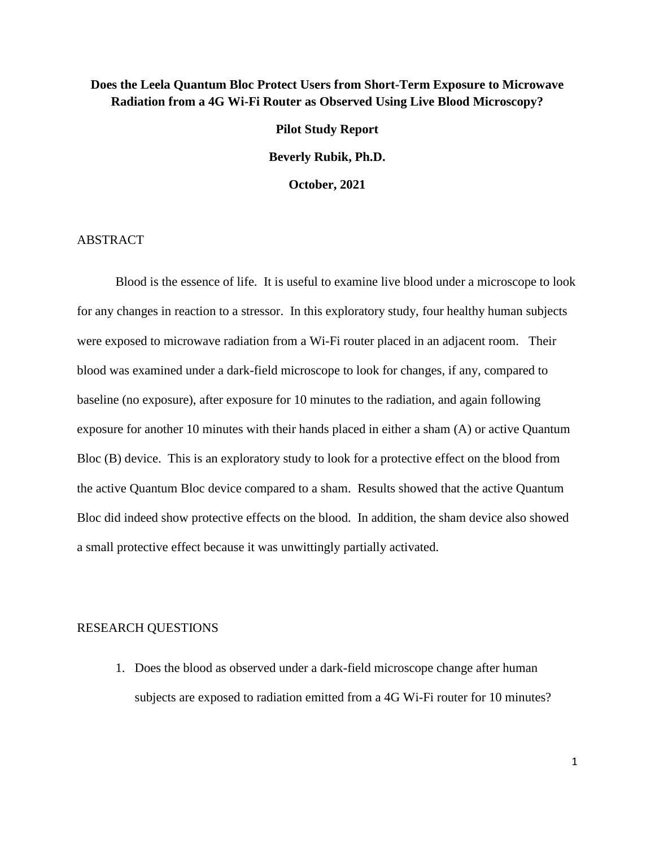# **Does the Leela Quantum Bloc Protect Users from Short-Term Exposure to Microwave Radiation from a 4G Wi-Fi Router as Observed Using Live Blood Microscopy?**

**Pilot Study Report Beverly Rubik, Ph.D. October, 2021**

### ABSTRACT

Blood is the essence of life. It is useful to examine live blood under a microscope to look for any changes in reaction to a stressor. In this exploratory study, four healthy human subjects were exposed to microwave radiation from a Wi-Fi router placed in an adjacent room. Their blood was examined under a dark-field microscope to look for changes, if any, compared to baseline (no exposure), after exposure for 10 minutes to the radiation, and again following exposure for another 10 minutes with their hands placed in either a sham (A) or active Quantum Bloc (B) device. This is an exploratory study to look for a protective effect on the blood from the active Quantum Bloc device compared to a sham. Results showed that the active Quantum Bloc did indeed show protective effects on the blood. In addition, the sham device also showed a small protective effect because it was unwittingly partially activated.

#### RESEARCH QUESTIONS

1. Does the blood as observed under a dark-field microscope change after human subjects are exposed to radiation emitted from a 4G Wi-Fi router for 10 minutes?

1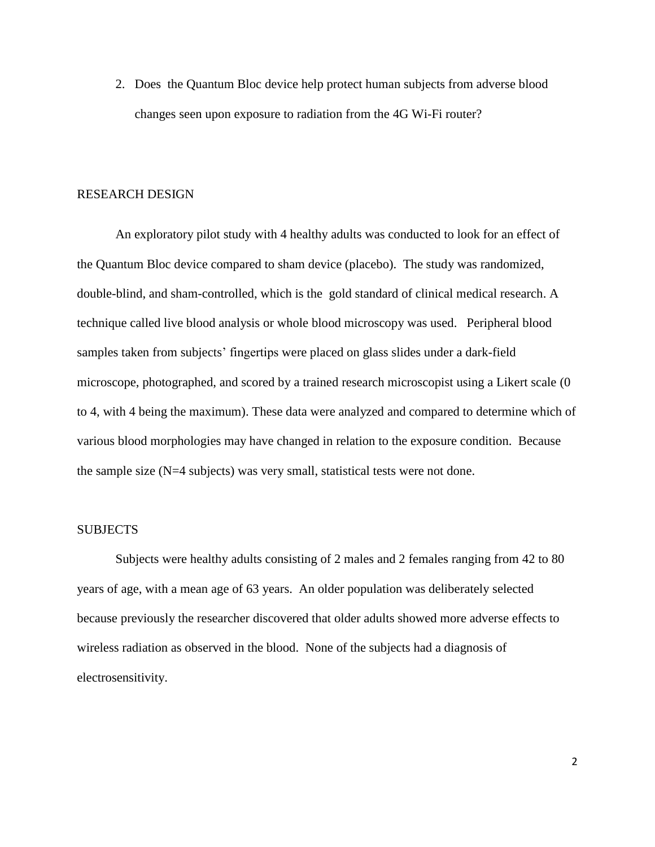2. Does the Quantum Bloc device help protect human subjects from adverse blood changes seen upon exposure to radiation from the 4G Wi-Fi router?

#### RESEARCH DESIGN

An exploratory pilot study with 4 healthy adults was conducted to look for an effect of the Quantum Bloc device compared to sham device (placebo). The study was randomized, double-blind, and sham-controlled, which is the gold standard of clinical medical research. A technique called live blood analysis or whole blood microscopy was used. Peripheral blood samples taken from subjects' fingertips were placed on glass slides under a dark-field microscope, photographed, and scored by a trained research microscopist using a Likert scale (0 to 4, with 4 being the maximum). These data were analyzed and compared to determine which of various blood morphologies may have changed in relation to the exposure condition. Because the sample size (N=4 subjects) was very small, statistical tests were not done.

## **SUBJECTS**

Subjects were healthy adults consisting of 2 males and 2 females ranging from 42 to 80 years of age, with a mean age of 63 years. An older population was deliberately selected because previously the researcher discovered that older adults showed more adverse effects to wireless radiation as observed in the blood. None of the subjects had a diagnosis of electrosensitivity.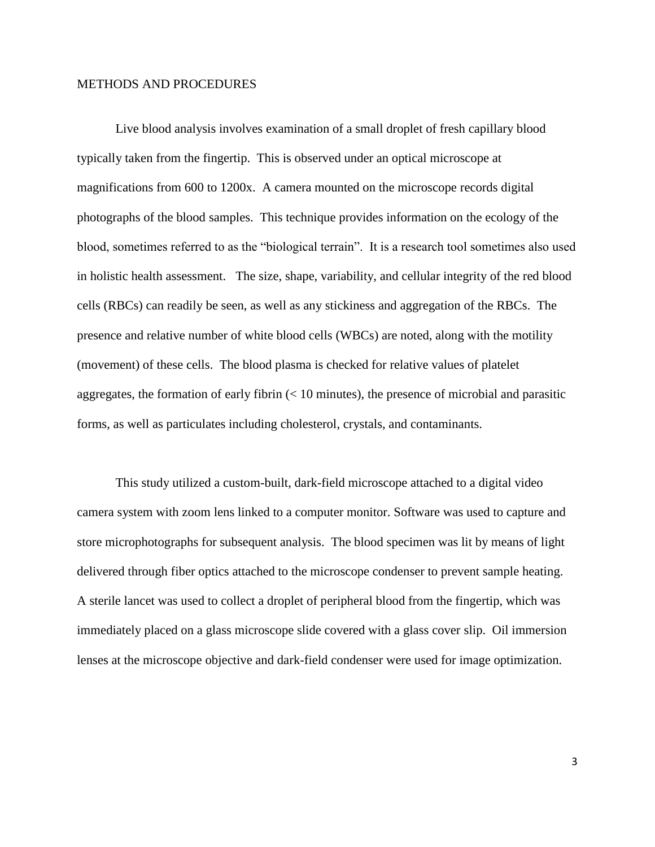# METHODS AND PROCEDURES

Live blood analysis involves examination of a small droplet of fresh capillary blood typically taken from the fingertip. This is observed under an optical microscope at magnifications from 600 to 1200x. A camera mounted on the microscope records digital photographs of the blood samples. This technique provides information on the ecology of the blood, sometimes referred to as the "biological terrain". It is a research tool sometimes also used in holistic health assessment. The size, shape, variability, and cellular integrity of the red blood cells (RBCs) can readily be seen, as well as any stickiness and aggregation of the RBCs. The presence and relative number of white blood cells (WBCs) are noted, along with the motility (movement) of these cells. The blood plasma is checked for relative values of platelet aggregates, the formation of early fibrin  $(< 10$  minutes), the presence of microbial and parasitic forms, as well as particulates including cholesterol, crystals, and contaminants.

This study utilized a custom-built, dark-field microscope attached to a digital video camera system with zoom lens linked to a computer monitor. Software was used to capture and store microphotographs for subsequent analysis. The blood specimen was lit by means of light delivered through fiber optics attached to the microscope condenser to prevent sample heating. A sterile lancet was used to collect a droplet of peripheral blood from the fingertip, which was immediately placed on a glass microscope slide covered with a glass cover slip. Oil immersion lenses at the microscope objective and dark-field condenser were used for image optimization.

3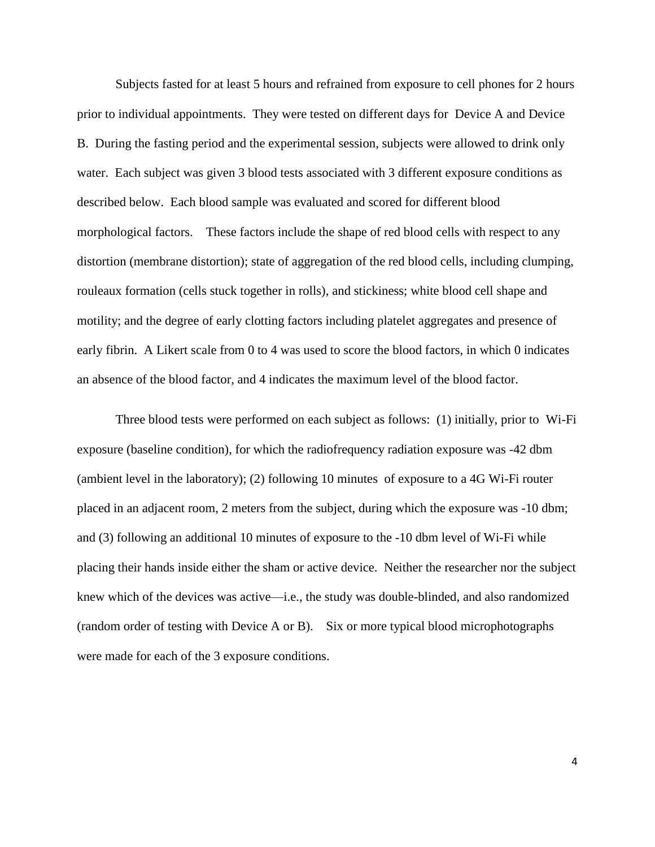Subjects fasted for at least 5 hours and refrained from exposure to cell phones for 2 hours prior to individual appointments. They were tested on different days for Device A and Device B. During the fasting period and the experimental session, subjects were allowed to drink only water. Each subject was given 3 blood tests associated with 3 different exposure conditions as described below. Each blood sample was evaluated and scored for different blood morphological factors. These factors include the shape of red blood cells with respect to any distortion (membrane distortion); state of aggregation of the red blood cells, including clumping, rouleaux formation (cells stuck together in rolls), and stickiness; white blood cell shape and motility; and the degree of early clotting factors including platelet aggregates and presence of early fibrin. A Likert scale from 0 to 4 was used to score the blood factors, in which 0 indicates an absence of the blood factor, and 4 indicates the maximum level of the blood factor.

Three blood tests were performed on each subject as follows: (1) initially, prior to Wi-Fi exposure (baseline condition), for which the radiofrequency radiation exposure was -42 dbm (ambient level in the laboratory); (2) following 10 minutes of exposure to a 4G Wi-Fi router placed in an adjacent room, 2 meters from the subject, during which the exposure was -10 dbm; and (3) following an additional 10 minutes of exposure to the -10 dbm level of Wi-Fi while placing their hands inside either the sham or active device. Neither the researcher nor the subject knew which of the devices was active—i.e., the study was double-blinded, and also randomized (random order of testing with Device A or B). Six or more typical blood microphotographs were made for each of the 3 exposure conditions.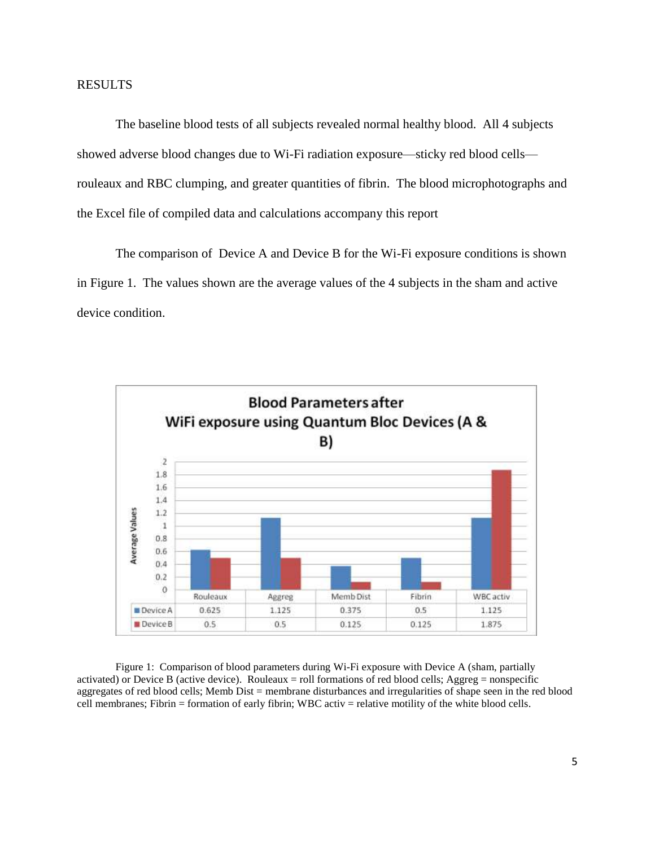The baseline blood tests of all subjects revealed normal healthy blood. All 4 subjects showed adverse blood changes due to Wi-Fi radiation exposure—sticky red blood cells rouleaux and RBC clumping, and greater quantities of fibrin. The blood microphotographs and the Excel file of compiled data and calculations accompany this report

The comparison of Device A and Device B for the Wi-Fi exposure conditions is shown in Figure 1. The values shown are the average values of the 4 subjects in the sham and active device condition.



Figure 1: Comparison of blood parameters during Wi-Fi exposure with Device A (sham, partially activated) or Device B (active device). Rouleaux = roll formations of red blood cells; Aggreg = nonspecific aggregates of red blood cells; Memb Dist = membrane disturbances and irregularities of shape seen in the red blood cell membranes; Fibrin = formation of early fibrin; WBC activ = relative motility of the white blood cells.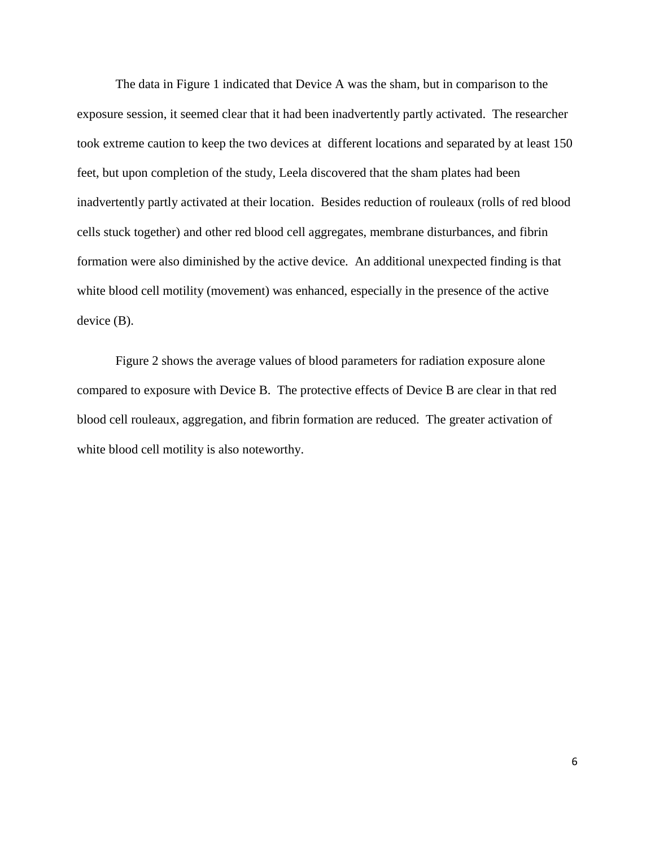The data in Figure 1 indicated that Device A was the sham, but in comparison to the exposure session, it seemed clear that it had been inadvertently partly activated. The researcher took extreme caution to keep the two devices at different locations and separated by at least 150 feet, but upon completion of the study, Leela discovered that the sham plates had been inadvertently partly activated at their location. Besides reduction of rouleaux (rolls of red blood cells stuck together) and other red blood cell aggregates, membrane disturbances, and fibrin formation were also diminished by the active device. An additional unexpected finding is that white blood cell motility (movement) was enhanced, especially in the presence of the active device (B).

Figure 2 shows the average values of blood parameters for radiation exposure alone compared to exposure with Device B. The protective effects of Device B are clear in that red blood cell rouleaux, aggregation, and fibrin formation are reduced. The greater activation of white blood cell motility is also noteworthy.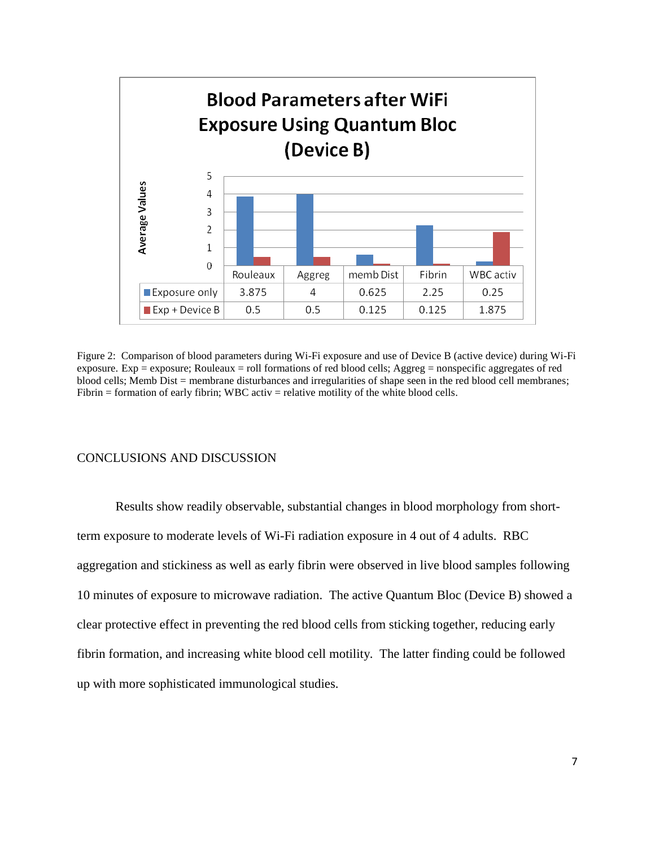

Figure 2: Comparison of blood parameters during Wi-Fi exposure and use of Device B (active device) during Wi-Fi exposure. Exp = exposure; Rouleaux = roll formations of red blood cells; Aggreg = nonspecific aggregates of red blood cells; Memb Dist = membrane disturbances and irregularities of shape seen in the red blood cell membranes; Fibrin = formation of early fibrin; WBC activ = relative motility of the white blood cells.

#### CONCLUSIONS AND DISCUSSION

Results show readily observable, substantial changes in blood morphology from shortterm exposure to moderate levels of Wi-Fi radiation exposure in 4 out of 4 adults. RBC aggregation and stickiness as well as early fibrin were observed in live blood samples following 10 minutes of exposure to microwave radiation. The active Quantum Bloc (Device B) showed a clear protective effect in preventing the red blood cells from sticking together, reducing early fibrin formation, and increasing white blood cell motility. The latter finding could be followed up with more sophisticated immunological studies.